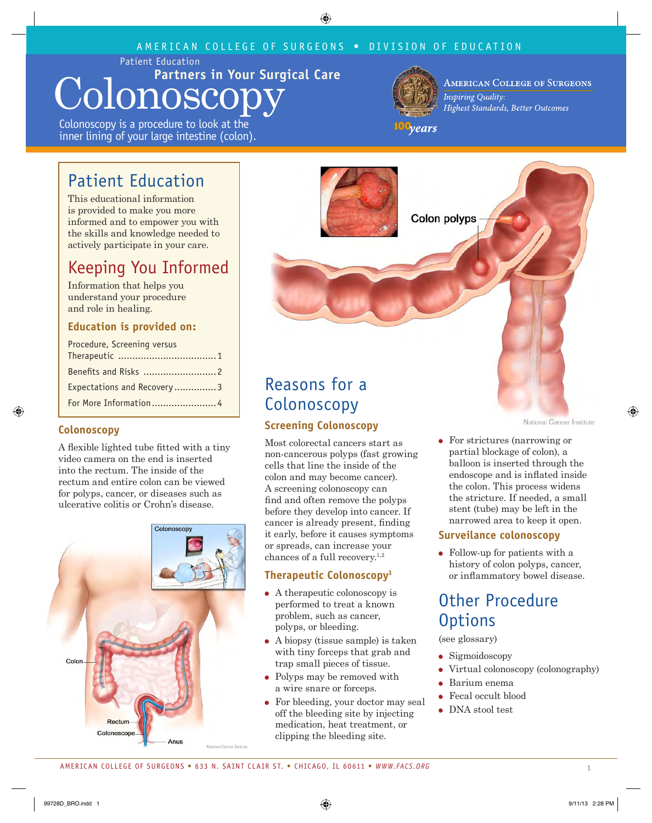### AMERICAN COLLEGE OF SURGEONS • DIVISION OF EDUCATION

Patient Education

# **Partners in Your Surgical Care** Colonoscop;

Colonoscopy is a procedure to look at the inner lining of your large intestine (colon).



**AMERICAN COLLEGE OF SURGEONS Inspiring Quality:** Highest Standards, Better Outcomes

100<sub>years</sub>

### Patient Education

This educational information is provided to make you more informed and to empower you with the skills and knowledge needed to actively participate in your care.

## Keeping You Informed

Information that helps you understand your procedure and role in healing.

#### **Education is provided on:**

| Procedure, Screening versus |
|-----------------------------|
|                             |
| Expectations and Recovery 3 |
|                             |

#### **Colonoscopy**

A flexible lighted tube fitted with a tiny video camera on the end is inserted into the rectum. The inside of the rectum and entire colon can be viewed for polyps, cancer, or diseases such as ulcerative colitis or Crohn's disease.





## Reasons for a Colonoscopy

### **Screening Colonoscopy**

Most colorectal cancers start as non-cancerous polyps (fast growing cells that line the inside of the colon and may become cancer). A screening colonoscopy can find and often remove the polyps before they develop into cancer. If cancer is already present, finding it early, before it causes symptoms or spreads, can increase your chances of a full recovery.1,2

#### **Therapeutic Colonoscopy3**

- A therapeutic colonoscopy is performed to treat a known problem, such as cancer, polyps, or bleeding.
- A biopsy (tissue sample) is taken with tiny forceps that grab and trap small pieces of tissue.
- Polyps may be removed with a wire snare or forceps.
- For bleeding, your doctor may seal off the bleeding site by injecting medication, heat treatment, or clipping the bleeding site.

National Cancer Institute

 For strictures (narrowing or partial blockage of colon), a balloon is inserted through the endoscope and is inflated inside the colon. This process widens the stricture. If needed, a small stent (tube) may be left in the narrowed area to keep it open.

#### **Surveilance colonoscopy**

 Follow-up for patients with a history of colon polyps, cancer, or inflammatory bowel disease.

### Other Procedure **Options**

(see glossary)

- **Sigmoidoscopy**
- Virtual colonoscopy (colonography)
- Barium enema
- Fecal occult blood
- DNA stool test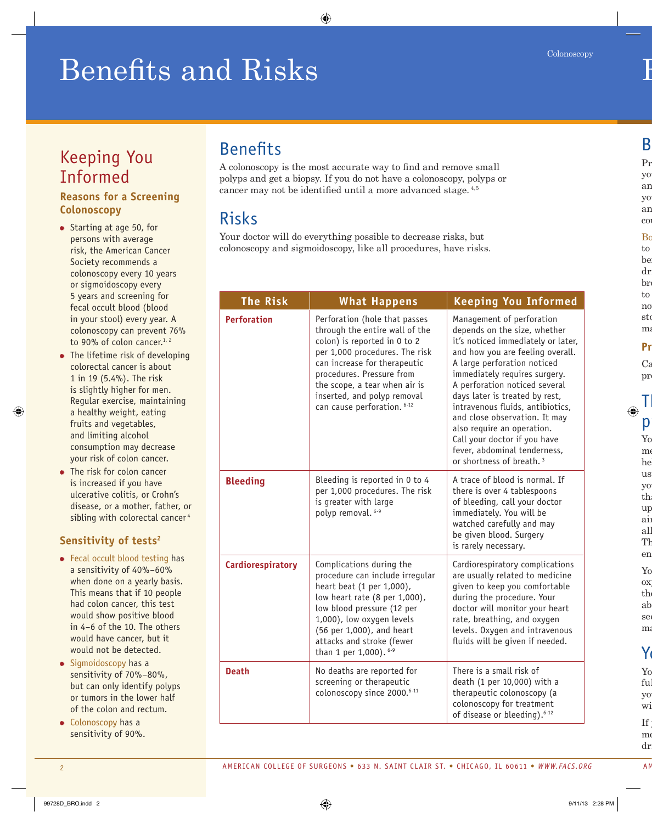# Benefits and Risks

# Keeping You Informed

### **Reasons for a Screening Colonoscopy**

- Starting at age 50, for persons with average risk, the American Cancer Society recommends a colonoscopy every 10 years or sigmoidoscopy every 5 years and screening for fecal occult blood (blood in your stool) every year. A colonoscopy can prevent 76% to 90% of colon cancer. $1, 2$
- The lifetime risk of developing colorectal cancer is about 1 in 19 (5.4%). The risk is slightly higher for men. Regular exercise, maintaining a healthy weight, eating fruits and vegetables, and limiting alcohol consumption may decrease your risk of colon cancer.
- The risk for colon cancer is increased if you have ulcerative colitis, or Crohn's disease, or a mother, father, or sibling with colorectal cancer<sup>4</sup>

### **Sensitivity of tests2**

- Fecal occult blood testing has a sensitivity of 40%–60% when done on a yearly basis. This means that if 10 people had colon cancer, this test would show positive blood in 4–6 of the 10. The others would have cancer, but it would not be detected.
- $\bullet$  Sigmoidoscopy has a sensitivity of 70%–80%, but can only identify polyps or tumors in the lower half of the colon and rectum.
- $\bullet$  Colonoscopy has a sensitivity of 90%.

### Benefits

A colonoscopy is the most accurate way to find and remove small polyps and get a biopsy. If you do not have a colonoscopy, polyps or cancer may not be identified until a more advanced stage. 4,5

### Risks

Your doctor will do everything possible to decrease risks, but colonoscopy and sigmoidoscopy, like all procedures, have risks.

| The Risk           | <b>What Happens</b>                                                                                                                                                                                                                                                                           | <b>Keeping You Informed</b>                                                                                                                                                                                                                                                                                                                                                                                                                                                       |
|--------------------|-----------------------------------------------------------------------------------------------------------------------------------------------------------------------------------------------------------------------------------------------------------------------------------------------|-----------------------------------------------------------------------------------------------------------------------------------------------------------------------------------------------------------------------------------------------------------------------------------------------------------------------------------------------------------------------------------------------------------------------------------------------------------------------------------|
| <b>Perforation</b> | Perforation (hole that passes<br>through the entire wall of the<br>colon) is reported in 0 to 2<br>per 1,000 procedures. The risk<br>can increase for therapeutic<br>procedures. Pressure from<br>the scope, a tear when air is<br>inserted, and polyp removal<br>can cause perforation. 6-12 | Management of perforation<br>depends on the size, whether<br>it's noticed immediately or later,<br>and how you are feeling overall.<br>A large perforation noticed<br>immediately requires surgery.<br>A perforation noticed several<br>days later is treated by rest,<br>intravenous fluids, antibiotics,<br>and close observation. It may<br>also require an operation.<br>Call your doctor if you have<br>fever, abdominal tenderness,<br>or shortness of breath. <sup>3</sup> |
| <b>Bleeding</b>    | Bleeding is reported in 0 to 4<br>per 1,000 procedures. The risk<br>is greater with large<br>polyp removal. 6-9                                                                                                                                                                               | A trace of blood is normal. If<br>there is over 4 tablespoons<br>of bleeding, call your doctor<br>immediately. You will be<br>watched carefully and may<br>be given blood. Surgery<br>is rarely necessary.                                                                                                                                                                                                                                                                        |
| Cardiorespiratory  | Complications during the<br>procedure can include irregular<br>heart beat (1 per 1,000),<br>low heart rate (8 per 1,000),<br>low blood pressure (12 per<br>1,000), low oxygen levels<br>(56 per 1,000), and heart<br>attacks and stroke (fewer<br>than 1 per 1,000). 6-9                      | Cardiorespiratory complications<br>are usually related to medicine<br>given to keep you comfortable<br>during the procedure. Your<br>doctor will monitor your heart<br>rate, breathing, and oxygen<br>levels. Oxygen and intravenous<br>fluids will be given if needed.                                                                                                                                                                                                           |
| <b>Death</b>       | No deaths are reported for<br>screening or therapeutic<br>colonoscopy since 2000. <sup>6-11</sup>                                                                                                                                                                                             | There is a small risk of<br>death (1 per 10,000) with a<br>therapeutic colonoscopy (a<br>colonoscopy for treatment<br>of disease or bleeding). <sup>6-12</sup>                                                                                                                                                                                                                                                                                                                    |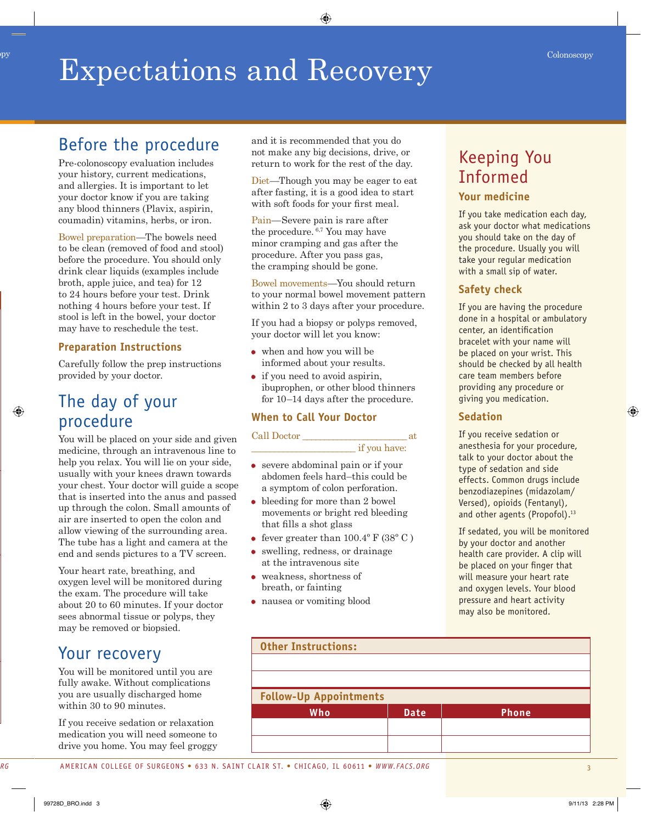### Expectations and Recovery Colonoscopy Colonoscopy

### Before the procedure

Pre-colonoscopy evaluation includes your history, current medications, and allergies. It is important to let your doctor know if you are taking any blood thinners (Plavix, aspirin, coumadin) vitamins, herbs, or iron.

Bowel preparation—The bowels need to be clean (removed of food and stool) before the procedure. You should only drink clear liquids (examples include broth, apple juice, and tea) for 12 to 24 hours before your test. Drink nothing 4 hours before your test. If stool is left in the bowel, your doctor may have to reschedule the test.

### **Preparation Instructions**

Carefully follow the prep instructions provided by your doctor.

### The day of your procedure

You will be placed on your side and given medicine, through an intravenous line to help you relax. You will lie on your side, usually with your knees drawn towards your chest. Your doctor will guide a scope that is inserted into the anus and passed up through the colon. Small amounts of air are inserted to open the colon and allow viewing of the surrounding area. The tube has a light and camera at the end and sends pictures to a TV screen.

Your heart rate, breathing, and oxygen level will be monitored during the exam. The procedure will take about 20 to 60 minutes. If your doctor sees abnormal tissue or polyps, they may be removed or biopsied.

### Your recovery

You will be monitored until you are fully awake. Without complications you are usually discharged home within 30 to 90 minutes.

If you receive sedation or relaxation medication you will need someone to drive you home. You may feel groggy and it is recommended that you do not make any big decisions, drive, or return to work for the rest of the day.

Diet—Though you may be eager to eat after fasting, it is a good idea to start with soft foods for your first meal.

Pain—Severe pain is rare after the procedure. 6,7 You may have minor cramping and gas after the procedure. After you pass gas, the cramping should be gone.

Bowel movements—You should return to your normal bowel movement pattern within 2 to 3 days after your procedure.

If you had a biopsy or polyps removed, your doctor will let you know:

- when and how you will be informed about your results.
- if you need to avoid aspirin. ibuprophen, or other blood thinners for 10–14 days after the procedure.

#### **When to Call Your Doctor**

#### Call Doctor \_\_\_\_\_\_\_\_\_\_\_\_\_\_\_\_\_\_\_\_\_\_\_\_ at

 $\mathbf{r}$  if you have:

- severe abdominal pain or if your abdomen feels hard–this could be a symptom of colon perforation.
- bleeding for more than 2 bowel movements or bright red bleeding that fills a shot glass
- fever greater than  $100.4^{\circ}$  F (38 $^{\circ}$  C)
- swelling, redness, or drainage at the intravenous site
- weakness, shortness of breath, or fainting
- nausea or vomiting blood

# Keeping You Informed

#### **Your medicine**

If you take medication each day, ask your doctor what medications you should take on the day of the procedure. Usually you will take your regular medication with a small sip of water.

### **Safety check**

If you are having the procedure done in a hospital or ambulatory center, an identification bracelet with your name will be placed on your wrist. This should be checked by all health care team members before providing any procedure or giving you medication.

#### **Sedation**

If you receive sedation or anesthesia for your procedure, talk to your doctor about the type of sedation and side effects. Common drugs include benzodiazepines (midazolam/ Versed), opioids (Fentanyl), and other agents (Propofol).<sup>13</sup>

If sedated, you will be monitored by your doctor and another health care provider. A clip will be placed on your finger that will measure your heart rate and oxygen levels. Your blood pressure and heart activity may also be monitored.

| <b>Other Instructions:</b>    |             |              |  |  |
|-------------------------------|-------------|--------------|--|--|
|                               |             |              |  |  |
|                               |             |              |  |  |
| <b>Follow-Up Appointments</b> |             |              |  |  |
|                               |             |              |  |  |
| Who                           | <b>Date</b> | <b>Phone</b> |  |  |
|                               |             |              |  |  |
|                               |             |              |  |  |
|                               |             |              |  |  |